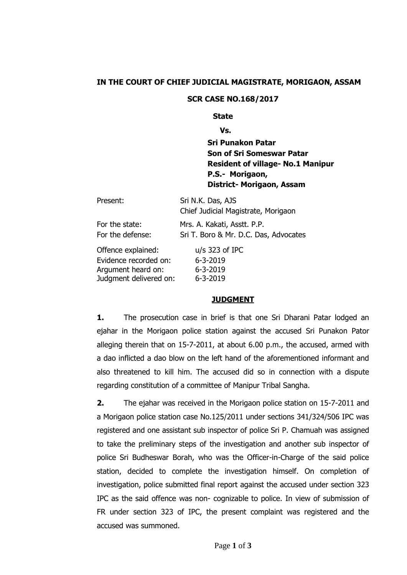### **IN THE COURT OF CHIEF JUDICIAL MAGISTRATE, MORIGAON, ASSAM**

#### **SCR CASE NO.168/2017**

#### **State**

**Vs.**

**Sri Punakon Patar Son of Sri Someswar Patar Resident of village- No.1 Manipur P.S.- Morigaon, District- Morigaon, Assam**

| Present:               | Sri N.K. Das, AJS<br>Chief Judicial Magistrate, Morigaon |
|------------------------|----------------------------------------------------------|
| For the state:         | Mrs. A. Kakati, Asstt. P.P.                              |
| For the defense:       | Sri T. Boro & Mr. D.C. Das, Advocates                    |
| Offence explained:     | $u/s$ 323 of IPC                                         |
| Evidence recorded on:  | $6 - 3 - 2019$                                           |
| Argument heard on:     | 6-3-2019                                                 |
| Judgment delivered on: | $6 - 3 - 2019$                                           |

#### **JUDGMENT**

**1.** The prosecution case in brief is that one Sri Dharani Patar lodged an ejahar in the Morigaon police station against the accused Sri Punakon Pator alleging therein that on 15-7-2011, at about 6.00 p.m., the accused, armed with a dao inflicted a dao blow on the left hand of the aforementioned informant and also threatened to kill him. The accused did so in connection with a dispute regarding constitution of a committee of Manipur Tribal Sangha.

**2.** The ejahar was received in the Morigaon police station on 15-7-2011 and a Morigaon police station case No.125/2011 under sections 341/324/506 IPC was registered and one assistant sub inspector of police Sri P. Chamuah was assigned to take the preliminary steps of the investigation and another sub inspector of police Sri Budheswar Borah, who was the Officer-in-Charge of the said police station, decided to complete the investigation himself. On completion of investigation, police submitted final report against the accused under section 323 IPC as the said offence was non- cognizable to police. In view of submission of FR under section 323 of IPC, the present complaint was registered and the accused was summoned.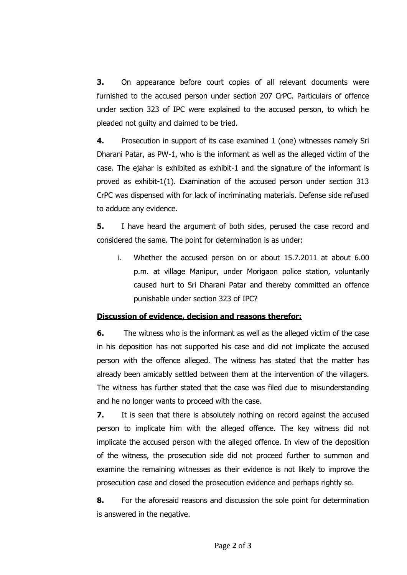**3.** On appearance before court copies of all relevant documents were furnished to the accused person under section 207 CrPC. Particulars of offence under section 323 of IPC were explained to the accused person, to which he pleaded not guilty and claimed to be tried.

**4.** Prosecution in support of its case examined 1 (one) witnesses namely Sri Dharani Patar, as PW-1, who is the informant as well as the alleged victim of the case. The ejahar is exhibited as exhibit-1 and the signature of the informant is proved as exhibit-1(1). Examination of the accused person under section 313 CrPC was dispensed with for lack of incriminating materials. Defense side refused to adduce any evidence.

**5.** I have heard the argument of both sides, perused the case record and considered the same. The point for determination is as under:

i. Whether the accused person on or about 15.7.2011 at about 6.00 p.m. at village Manipur, under Morigaon police station, voluntarily caused hurt to Sri Dharani Patar and thereby committed an offence punishable under section 323 of IPC?

## **Discussion of evidence, decision and reasons therefor:**

**6.** The witness who is the informant as well as the alleged victim of the case in his deposition has not supported his case and did not implicate the accused person with the offence alleged. The witness has stated that the matter has already been amicably settled between them at the intervention of the villagers. The witness has further stated that the case was filed due to misunderstanding and he no longer wants to proceed with the case.

**7.** It is seen that there is absolutely nothing on record against the accused person to implicate him with the alleged offence. The key witness did not implicate the accused person with the alleged offence. In view of the deposition of the witness, the prosecution side did not proceed further to summon and examine the remaining witnesses as their evidence is not likely to improve the prosecution case and closed the prosecution evidence and perhaps rightly so.

**8.** For the aforesaid reasons and discussion the sole point for determination is answered in the negative.